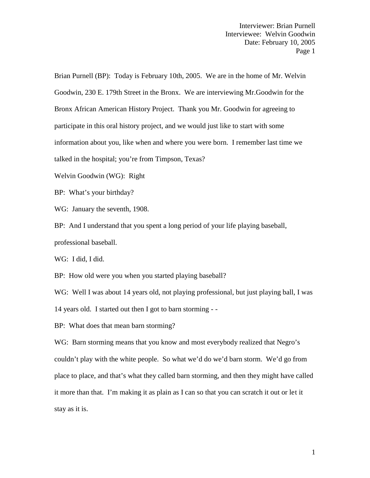Brian Purnell (BP): Today is February 10th, 2005. We are in the home of Mr. Welvin Goodwin, 230 E. 179th Street in the Bronx. We are interviewing Mr.Goodwin for the Bronx African American History Project. Thank you Mr. Goodwin for agreeing to participate in this oral history project, and we would just like to start with some information about you, like when and where you were born. I remember last time we talked in the hospital; you're from Timpson, Texas?

Welvin Goodwin (WG): Right

BP: What's your birthday?

WG: January the seventh, 1908.

BP: And I understand that you spent a long period of your life playing baseball, professional baseball.

WG: I did, I did.

BP: How old were you when you started playing baseball?

WG: Well I was about 14 years old, not playing professional, but just playing ball, I was 14 years old. I started out then I got to barn storming - -<br>BP: What does that mean barn storming?

WG: Barn storming means that you know and most everybody realized that Negro's couldn't play with the white people. So what we'd do we'd barn storm. We'd go from place to place, and that's what they called barn storming, and then they might have called it more than that. I'm making it as plain as I can so that you can scratch it out or let it stay as it is.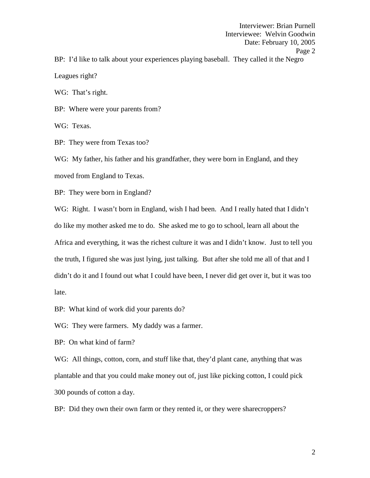Interviewer: Brian Purnell Interviewee: Welvin Goodwin Date: February 10, 2005 Page 2 BP: I'd like to talk about your experiences playing baseball. They called it the Negro Leagues right?

WG: That's right.

BP: Where were your parents from?

WG: Texas.

BP: They were from Texas too?

WG: My father, his father and his grandfather, they were born in England, and they moved from England to Texas.

BP: They were born in England?

WG: Right. I wasn't born in England, wish I had been. And I really hated that I didn't do like my mother asked me to do. She asked me to go to school, learn all about the Africa and everything, it was the richest culture it was and I didn't know. Just to tell you the truth, I figured she was just lying, just talking. But after she told me all of that and I didn't do it and I found out what I could have been, I never did get over it, but it was too late.

BP: What kind of work did your parents do?

WG: They were farmers. My daddy was a farmer.

BP: On what kind of farm?

WG: All things, cotton, corn, and stuff like that, they'd plant cane, anything that was plantable and that you could make money out of, just like picking cotton, I could pick 300 pounds of cotton a day.

BP: Did they own their own farm or they rented it, or they were sharecroppers?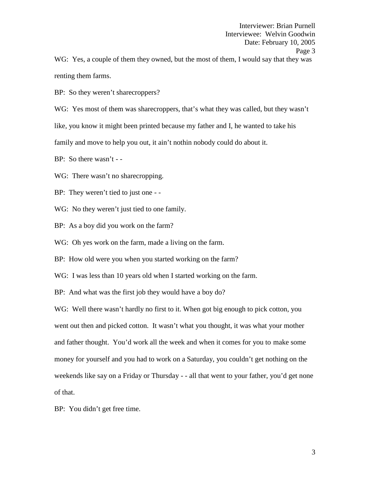WG: Yes, a couple of them they owned, but the most of them, I would say that they was renting them farms.

BP: So they weren't sharecroppers?

WG: Yes most of them was sharecroppers, that's what they was called, but they wasn't

like, you know it might been printed because my father and I, he wanted to take his

family and move to help you out, it ain't nothin nobody could do about it.

BP: So there wasn't - -

WG: There wasn't no sharecropping.

BP: They weren't tied to just one - -

WG: No they weren't just tied to one family.

BP: As a boy did you work on the farm?

WG: Oh yes work on the farm, made a living on the farm.

BP: How old were you when you started working on the farm?

WG: I was less than 10 years old when I started working on the farm.

BP: And what was the first job they would have a boy do?

WG: Well there wasn't hardly no first to it. When got big enough to pick cotton, you went out then and picked cotton. It wasn't what you thought, it was what your mother and father thought. You'd work all the week and when it comes for you to make some money for yourself and you had to work on a Saturday, you couldn't get nothing on the weekends like say on a Friday or Thursday - - all that went to your father, you'd get none of that.

BP: You didn't get free time.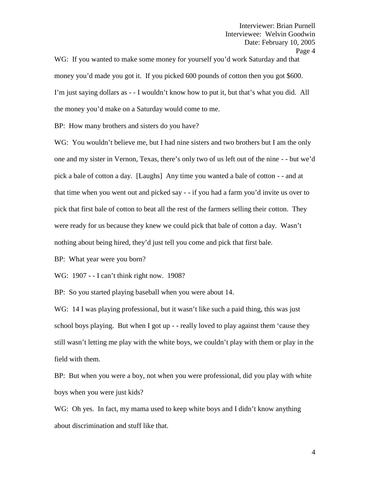WG: If you wanted to make some money for yourself you'd work Saturday and that money you'd made you got it. If you picked 600 pounds of cotton then you got \$600. I'm just saying dollars as - - I wouldn't know how to put it, but that's what you did. All the money you'd make on a Saturday would come to me.

BP: How many brothers and sisters do you have?

WG: You wouldn't believe me, but I had nine sisters and two brothers but I am the only one and my sister in Vernon, Texas, there's only two of us left out of the nine - - but we'd pick a bale of cotton a day. [Laughs] Any time you wanted a bale of cotton - - and at that time when you went out and picked say - - if you had a farm you'd invite us over to pick that first bale of cotton to beat all the rest of the farmers selling their cotton. They were ready for us because they knew we could pick that bale of cotton a day. Wasn't nothing about being hired, they'd just tell you come and pick that first bale.

BP: What year were you born?

WG: 1907 - -I can't think right now. 1908?

BP: So you started playing baseball when you were about 14.

WG: 14 I was playing professional, but it wasn't like such a paid thing, this was just school boys playing. But when I got up - - really loved to play against them 'cause they still wasn't letting me play with the white boys, we couldn't play with them or play in the field with them.

BP: But when you were a boy, not when you were professional, did you play with white boys when you were just kids?

WG: Oh yes. In fact, my mama used to keep white boys and I didn't know anything about discrimination and stuff like that.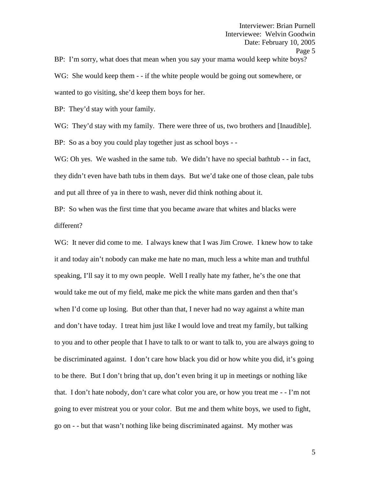BP: I'm sorry, what does that mean when you say your mama would keep white boys? WG: She would keep them - - if the white people would be going out somewhere, or wanted to go visiting, she'd keep them boys for her.

BP: They'd stay with your family.

WG: They'd stay with my family. There were three of us, two brothers and [Inaudible]. BP: So as a boy you could play together just as school boys - -

WG: Oh yes. We washed in the same tub. We didn't have no special bathtub - - in fact, they didn't even have bath tubs in them days. But we'd take one of those clean, pale tubs and put all three of ya in there to wash, never did think nothing about it.

BP: So when was the first time that you became aware that whites and blacks were different?

WG: It never did come to me. I always knew that I was Jim Crowe. I knew how to take it and today ain't nobody can make me hate no man, much less a white man and truthful speaking, I'll say it to my own people. Well I really hate my father, he's the one that would take me out of my field, make me pick the white mans garden and then that's when I'd come up losing. But other than that, I never had no way against a white man and don't have today. I treat him just like I would love and treat my family, but talking to you and to other people that I have to talk to or want to talk to, you are always going to be discriminated against. I don't care how black you did or how white you did, it's going to be there. But I don't bring that up, don't even bring it up in meetings or nothing like that. I don't hate nobody, don't care what color you are, or how you treat me - - I'm not going to ever mistreat you or your color. But me and them white boys, we used to fight, go on - - but that wasn't nothing like being discriminated against. My mother was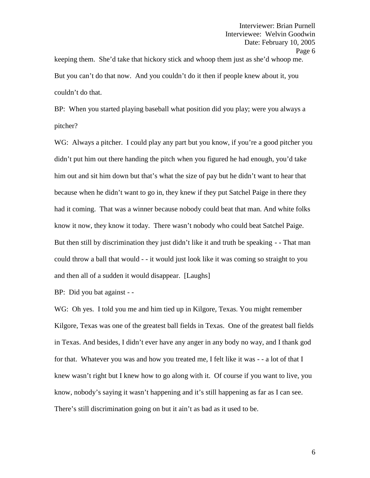keeping them. She'd take that hickory stick and whoop them just as she'd whoop me. But you can't do that now. And you couldn't do it then if people knew about it, you couldn't do that.

BP: When you started playing baseball what position did you play; were you always a pitcher?

WG: Always a pitcher. I could play any part but you know, if you're a good pitcher you didn't put him out there handing the pitch when you figured he had enough, you'd take him out and sit him down but that's what the size of pay but he didn't want to hear that because when he didn't want to go in, they knew if they put Satchel Paige in there they had it coming. That was a winner because nobody could beat that man. And white folks know it now, they know it today. There wasn't nobody who could beat Satchel Paige. But then still by discrimination they just didn't like it and truth be speaking -- That man could throw a ball that would - - it would just look like it was coming so straight to you and then all of a sudden it would disappear. [Laughs]

BP: Did you bat against - -

WG: Oh yes. I told you me and him tied up in Kilgore, Texas. You might remember Kilgore, Texas was one of the greatest ball fields in Texas. One of the greatest ball fields in Texas. And besides, I didn't ever have any anger in any body no way, and I thank god for that. Whatever you was and how you treated me, I felt like it was - - a lot of that I knew wasn't right but I knew how to go along with it. Of course if you want to live, you know, nobody's saying it wasn't happening and it's still happening as far as I can see. There's still discrimination going on but it ain't as bad as it used to be.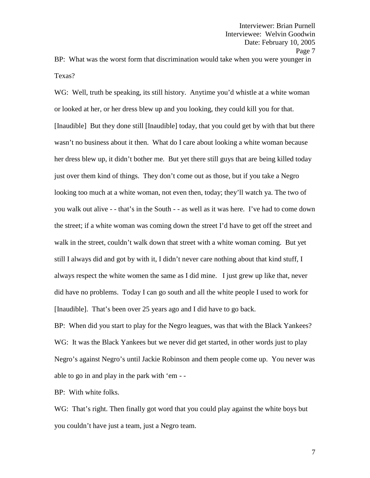BP: What was the worst form that discrimination would take when you were younger in Texas?

WG: Well, truth be speaking, its still history. Anytime you'd whistle at a white woman or looked at her, or her dress blew up and you looking, they could kill you for that. [Inaudible] But they done still [Inaudible] today, that you could get by with that but there wasn't no business about it then. What do I care about looking a white woman because her dress blew up, it didn't bother me. But yet there still guys that are being killed today just over them kind of things. They don't come out as those, but if you take a Negro looking too much at a white woman, not even then, today; they'll watch ya. The two of you walk out alive - - that's in the South - -as well as it was here. I've had to come down the street; if a white woman was coming down the street I'd have to get off the street and walk in the street, couldn't walk down that street with a white woman coming. But yet still I always did and got by with it, I didn't never care nothing about that kind stuff, I always respect the white women the same as I did mine. I just grew up like that, never did have no problems. Today I can go south and all the white people I used to work for [Inaudible]. That's been over 25 years ago and I did have to go back.

BP: When did you start to play for the Negro leagues, was that with the Black Yankees? WG: It was the Black Yankees but we never did get started, in other words just to play Negro's against Negro's until Jackie Robinson and them people come up. You never was able to go in and play in the park with 'em - -

BP: With white folks.

WG: That's right. Then finally got word that you could play against the white boys but you couldn't have just a team, just a Negro team.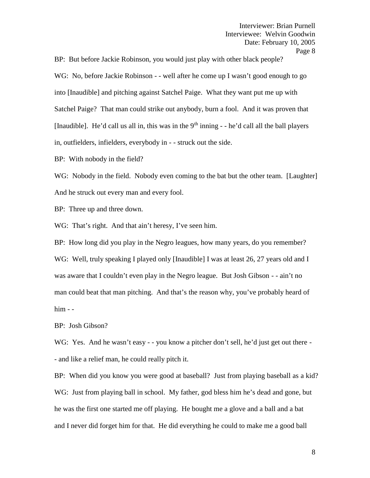BP: But before Jackie Robinson, you would just play with other black people?

WG: No, before Jackie Robinson - - well after he come up I wasn't good enough to go into [Inaudible] and pitching against Satchel Paige. What they want put me up with Satchel Paige? That man could strike out anybody, burn a fool. And it was proven that [Inaudible]. He'd call us all in, this was in the  $9<sup>th</sup>$  inning - - he'd call all the ball players in, outfielders, infielders, everybody in - - struck out the side.

BP: With nobody in the field?

WG: Nobody in the field. Nobody even coming to the bat but the other team. [Laughter] And he struck out every man and every fool.

BP: Three up and three down.

WG: That's right. And that ain't heresy, I've seen him.

BP: How long did you play in the Negro leagues, how many years, do you remember? WG: Well, truly speaking I played only [Inaudible] I was at least 26, 27 years old and I was aware that I couldn't even play in the Negro league. But Josh Gibson - - ain't no man could beat that man pitching. And that's the reason why, you've probably heard of him - -

BP: Josh Gibson?

WG: Yes. And he wasn't easy - - you know a pitcher don't sell, he'd just get out there -- and like a relief man, he could really pitch it.

BP: When did you know you were good at baseball? Just from playing baseball as a kid? WG: Just from playing ball in school. My father, god bless him he's dead and gone, but he was the first one started me off playing. He bought me a glove and a ball and a bat and I never did forget him for that. He did everything he could to make me a good ball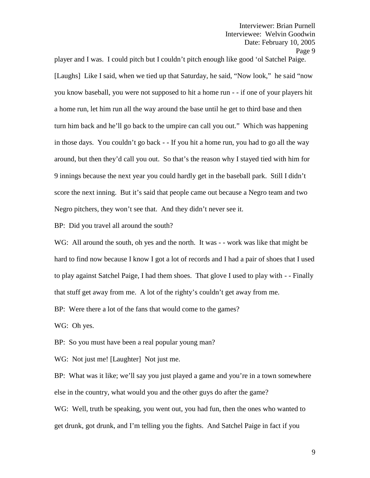player and I was. I could pitch but I couldn't pitch enough like good 'ol Satchel Paige. [Laughs] Like I said, when we tied up that Saturday, he said, "Now look," he said "now you know baseball, you were not supposed to hit a home run - - if one of your players hit a home run, let him run all the way around the base until he get to third base and then turn him back and he'll go back to the umpire can call you out." Which was happening in those days. You couldn't go back - - If you hit a home run, you had to go all the way around, but then they'd call you out. So that's the reason why I stayed tied with him for 9 innings because the next year you could hardly get in the baseball park. Still I didn't score the next inning. But it's said that people came out because a Negro team and two Negro pitchers, they won't see that. And they didn't never see it.

BP: Did you travel all around the south?

WG: All around the south, oh yes and the north. It was - - work was like that might be hard to find now because I know I got a lot of records and I had a pair of shoes that I used to play against Satchel Paige, I had them shoes. That glove I used to play with - -Finally that stuff get away from me. A lot of the righty's couldn't get away from me.

BP: Were there a lot of the fans that would come to the games?

WG: Oh yes.

BP: So you must have been a real popular young man?

WG: Not just me! [Laughter] Not just me.

BP: What was it like; we'll say you just played a game and you're in a town somewhere else in the country, what would you and the other guys do after the game?

WG: Well, truth be speaking, you went out, you had fun, then the ones who wanted to get drunk, got drunk, and I'm telling you the fights. And Satchel Paige in fact if you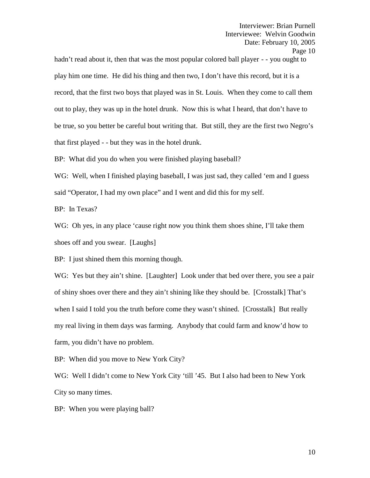hadn't read about it, then that was the most popular colored ball player - - you ought to play him one time. He did his thing and then two, I don't have this record, but it is a record, that the first two boys that played was in St. Louis. When they come to call them out to play, they was up in the hotel drunk. Now this is what I heard, that don't have to be true, so you better be careful bout writing that. But still, they are the first two Negro's that first played - - but they was in the hotel drunk.

BP: What did you do when you were finished playing baseball?

WG: Well, when I finished playing baseball, I was just sad, they called 'em and I guess said "Operator, I had my own place" and I went and did this for my self.

BP: In Texas?

WG: Oh yes, in any place 'cause right now you think them shoes shine, I'll take them shoes off and you swear. [Laughs]

BP: I just shined them this morning though.

WG: Yes but they ain't shine. [Laughter] Look under that bed over there, you see a pair of shiny shoes over there and they ain't shining like they should be. [Crosstalk] That's when I said I told you the truth before come they wasn't shined. [Crosstalk] But really my real living in them days was farming. Anybody that could farm and know'd how to farm, you didn't have no problem.

BP: When did you move to New York City?

WG: Well I didn't come to New York City 'till '45. But I also had been to New York City so many times.

BP: When you were playing ball?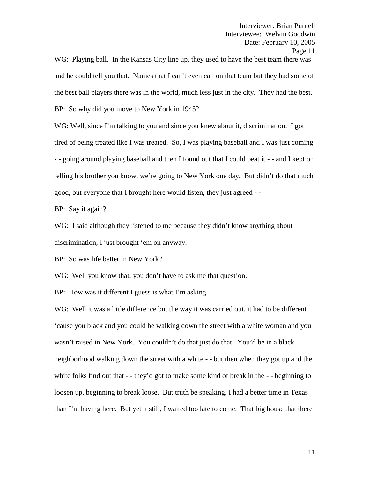WG: Playing ball. In the Kansas City line up, they used to have the best team there was and he could tell you that. Names that I can't even call on that team but they had some of the best ball players there was in the world, much less just in the city. They had the best. BP: So why did you move to New York in 1945?

WG: Well, since I'm talking to you and since you knew about it, discrimination. I got tired of being treated like I was treated. So, I was playing baseball and I was just coming - - going around playing baseball and then I found out that I could beat it - - and I kept on telling his brother you know, we're going to New York one day. But didn't do that much good, but everyone that I brought here would listen, they just agreed - -BP: Say it again?

WG: I said although they listened to me because they didn't know anything about discrimination, I just brought 'em on anyway.

BP: So was life better in New York?

WG: Well you know that, you don't have to ask me that question.

BP: How was it different I guess is what I'm asking.

WG: Well it was a little difference but the way it was carried out, it had to be different 'cause you black and you could be walking down the street with a white woman and you wasn't raised in New York. You couldn't do that just do that. You'd be in a black neighborhood walking down the street with a white - - but then when they got up and the white folks find out that - - they'd got to make some kind of break in the - - beginning to loosen up, beginning to break loose. But truth be speaking, I had a better time in Texas than I'm having here. But yet it still, I waited too late to come. That big house that there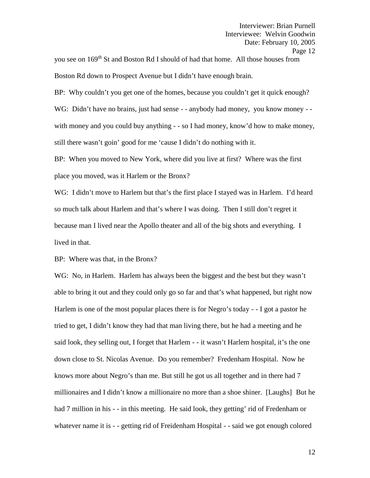you see on 169<sup>th</sup> St and Boston Rd I should of had that home. All those houses from Boston Rd down to Prospect Avenue but I didn't have enough brain.

BP: Why couldn't you get one of the homes, because you couldn't get it quick enough? WG: Didn't have no brains, just had sense - - anybody had money, you know money - with money and you could buy anything - - so I had money, know'd how to make money, still there wasn't goin' good for me 'cause I didn't do nothing with it.

BP: When you moved to New York, where did you live at first? Where was the first place you moved, was it Harlem or the Bronx?

WG: I didn't move to Harlem but that's the first place I stayed was in Harlem. I'd heard so much talk about Harlem and that's where I was doing. Then I still don't regret it because man I lived near the Apollo theater and all of the big shots and everything. I lived in that.

BP: Where was that, in the Bronx?

WG: No, in Harlem. Harlem has always been the biggest and the best but they wasn't able to bring it out and they could only go so far and that's what happened, but right now Harlem is one of the most popular places there is for Negro's today - - I got a pastor he tried to get, I didn't know they had that man living there, but he had a meeting and he said look, they selling out, I forget that Harlem - - it wasn't Harlem hospital, it's the one down close to St. Nicolas Avenue. Do you remember? Fredenham Hospital. Now he knows more about Negro's than me. But still he got us all together and in there had 7 millionaires and I didn't know a millionaire no more than a shoe shiner. [Laughs] But he had 7 million in his - - in this meeting. He said look, they getting' rid of Fredenham or whatever name it is - - getting rid of Freidenham Hospital - - said we got enough colored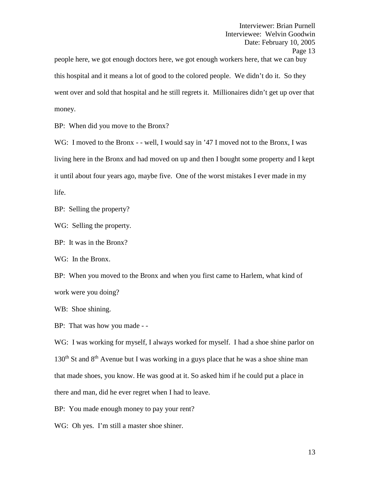people here, we got enough doctors here, we got enough workers here, that we can buy this hospital and it means a lot of good to the colored people. We didn't do it. So they went over and sold that hospital and he still regrets it. Millionaires didn't get up over that money.

BP: When did you move to the Bronx?

WG: I moved to the Bronx - - well, I would say in '47 I moved not to the Bronx, I was living here in the Bronx and had moved on up and then I bought some property and I kept it until about four years ago, maybe five. One of the worst mistakes I ever made in my life.

BP: Selling the property?

WG: Selling the property.

BP: It was in the Bronx?

WG: In the Bronx.

BP: When you moved to the Bronx and when you first came to Harlem, what kind of work were you doing?

WB: Shoe shining.

BP: That was how you made - -

WG: I was working for myself, I always worked for myself. I had a shoe shine parlor on  $130<sup>th</sup>$  St and  $8<sup>th</sup>$  Avenue but I was working in a guys place that he was a shoe shine man that made shoes, you know. He was good at it. So asked him if he could put a place in there and man, did he ever regret when I had to leave.

BP: You made enough money to pay your rent?

WG: Oh yes. I'm still a master shoe shiner.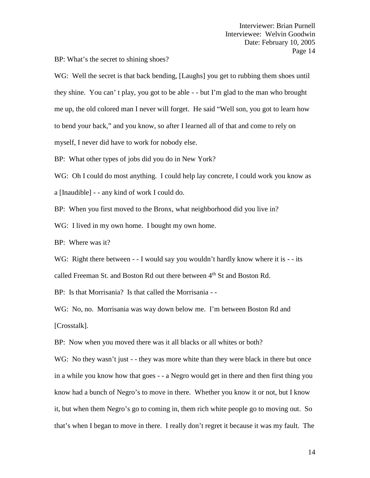BP: What's the secret to shining shoes?

WG: Well the secret is that back bending, [Laughs] you get to rubbing them shoes until they shine. You can' t play, you got to be able - - but I'm glad to the man who brought me up, the old colored man I never will forget. He said "Well son, you got to learn how to bend your back," and you know, so after I learned all of that and come to rely on myself, I never did have to work for nobody else.

BP: What other types of jobs did you do in New York?

WG: Oh I could do most anything. I could help lay concrete, I could work you know as

a [Inaudible] - - any kind of work I could do.

BP: When you first moved to the Bronx, what neighborhood did you live in?

WG: I lived in my own home. I bought my own home.

BP: Where was it?

WG: Right there between - - I would say you wouldn't hardly know where it is - - its called Freeman St. and Boston Rd out there between 4<sup>th</sup> St and Boston Rd.

BP: Is that Morrisania? Is that called the Morrisania - -

WG: No, no. Morrisania was way down below me. I'm between Boston Rd and [Crosstalk].

BP: Now when you moved there was it all blacks or all whites or both?

WG: No they wasn't just - - they was more white than they were black in there but once in a while you know how that goes - - a Negro would get in there and then first thing you know had a bunch of Negro's to move in there. Whether you know it or not, but I know it, but when them Negro's go to coming in, them rich white people go to moving out. So that's when I began to move in there. I really don't regret it because it was my fault. The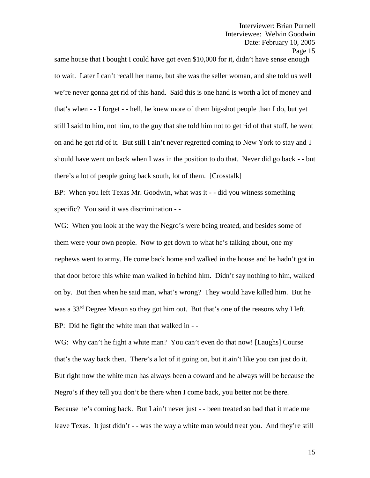Page 15

same house that I bought I could have got even \$10,000 for it, didn't have sense enough to wait. Later I can't recall her name, but she was the seller woman, and she told us well we're never gonna get rid of this hand. Said this is one hand is worth a lot of money and that's when - -I forget - - hell, he knew more of them big-shot people than I do, but yet still I said to him, not him, to the guy that she told him not to get rid of that stuff, he went on and he got rid of it. But still I ain't never regretted coming to New York to stay and I should have went on back when I was in the position to do that. Never did go back - -but there's a lot of people going back south, lot of them. [Crosstalk]

BP: When you left Texas Mr. Goodwin, what was it - - did you witness something specific? You said it was discrimination - -

WG: When you look at the way the Negro's were being treated, and besides some of them were your own people. Now to get down to what he's talking about, one my nephews went to army. He come back home and walked in the house and he hadn't got in that door before this white man walked in behind him. Didn't say nothing to him, walked on by. But then when he said man, what's wrong? They would have killed him. But he was a 33<sup>rd</sup> Degree Mason so they got him out. But that's one of the reasons why I left. BP: Did he fight the white man that walked in - -

WG: Why can't he fight a white man? You can't even do that now! [Laughs] Course that's the way back then. There's a lot of it going on, but it ain't like you can just do it. But right now the white man has always been a coward and he always will be because the Negro's if they tell you don't be there when I come back, you better not be there. Because he's coming back. But I ain't never just - - been treated so bad that it made me leave Texas. It just didn't - - was the way a white man would treat you. And they're still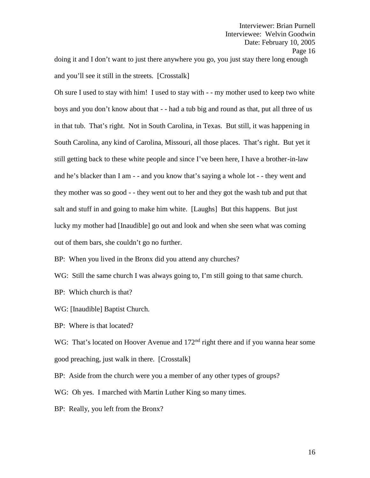doing it and I don't want to just there anywhere you go, you just stay there long enough and you'll see it still in the streets. [Crosstalk]

Oh sure I used to stay with him! I used to stay with - -my mother used to keep two white boys and you don't know about that - - had a tub big and round as that, put all three of us in that tub. That's right. Not in South Carolina, in Texas. But still, it was happening in South Carolina, any kind of Carolina, Missouri, all those places. That's right. But yet it still getting back to these white people and since I've been here, I have a brother-in-law and he's blacker than I am - - and you know that's saying a whole lot - - they went and they mother was so good - - they went out to her and they got the wash tub and put that salt and stuff in and going to make him white. [Laughs] But this happens. But just lucky my mother had [Inaudible] go out and look and when she seen what was coming out of them bars, she couldn't go no further.

BP: When you lived in the Bronx did you attend any churches?

WG: Still the same church I was always going to, I'm still going to that same church.

BP: Which church is that?

WG: [Inaudible] Baptist Church.

BP: Where is that located?

WG: That's located on Hoover Avenue and 172<sup>nd</sup> right there and if you wanna hear some good preaching, just walk in there. [Crosstalk]

BP: Aside from the church were you a member of any other types of groups?

WG: Oh yes. I marched with Martin Luther King so many times.

BP: Really, you left from the Bronx?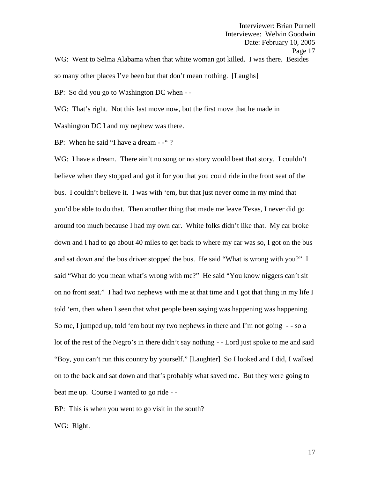Interviewer: Brian Purnell Interviewee: Welvin Goodwin Date: February 10, 2005 Page 17 WG: Went to Selma Alabama when that white woman got killed. I was there. Besides so many other places I've been but that don't mean nothing. [Laughs]

BP: So did you go to Washington DC when - -

WG: That's right. Not this last move now, but the first move that he made in

Washington DC I and my nephew was there.

BP: When he said "I have a dream - -"?

WG: I have a dream. There ain't no song or no story would beat that story. I couldn't believe when they stopped and got it for you that you could ride in the front seat of the bus. I couldn't believe it. I was with 'em, but that just never come in my mind that you'd be able to do that. Then another thing that made me leave Texas, I never did go around too much because I had my own car. White folks didn't like that. My car broke down and I had to go about 40 miles to get back to where my car was so, I got on the bus and sat down and the bus driver stopped the bus. He said "What is wrong with you?" I said "What do you mean what's wrong with me?" He said "You know niggers can't sit on no front seat." I had two nephews with me at that time and I got that thing in my life I told 'em, then when I seen that what people been saying was happening was happening. So me, I jumped up, told 'em bout my two nephews in there and I'm not going - - so a lot of the rest of the Negro's in there didn't say nothing - -Lord just spoke to me and said "Boy, you can't run this country by yourself." [Laughter] So I looked and I did, I walked on to the back and sat down and that's probably what saved me. But they were going to beat me up. Course I wanted to go ride - -

BP: This is when you went to go visit in the south?

WG: Right.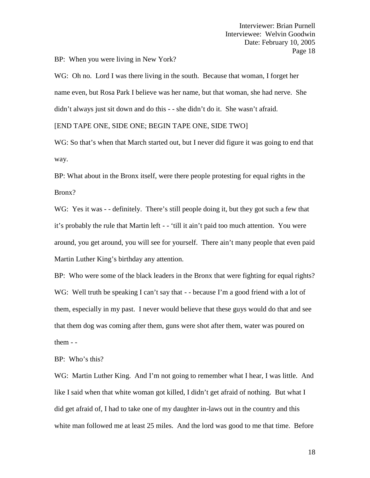BP: When you were living in New York?

WG: Oh no. Lord I was there living in the south. Because that woman, I forget her name even, but Rosa Park I believe was her name, but that woman, she had nerve. She didn't always just sit down and do this - - she didn't do it. She wasn't afraid.

[END TAPE ONE, SIDE ONE; BEGIN TAPE ONE, SIDE TWO]

WG: So that's when that March started out, but I never did figure it was going to end that way.

BP: What about in the Bronx itself, were there people protesting for equal rights in the Bronx?

WG: Yes it was - - definitely. There's still people doing it, but they got such a few that it's probably the rule that Martin left - - 'till it ain't paid too much attention. You were around, you get around, you will see for yourself. There ain't many people that even paid Martin Luther King's birthday any attention.

BP: Who were some of the black leaders in the Bronx that were fighting for equal rights? WG: Well truth be speaking I can't say that - - because I'm a good friend with a lot of them, especially in my past. I never would believe that these guys would do that and see that them dog was coming after them, guns were shot after them, water was poured on them - -

BP: Who's this?

WG: Martin Luther King. And I'm not going to remember what I hear, I was little. And like I said when that white woman got killed, I didn't get afraid of nothing. But what I did get afraid of, I had to take one of my daughter in-laws out in the country and this white man followed me at least 25 miles. And the lord was good to me that time. Before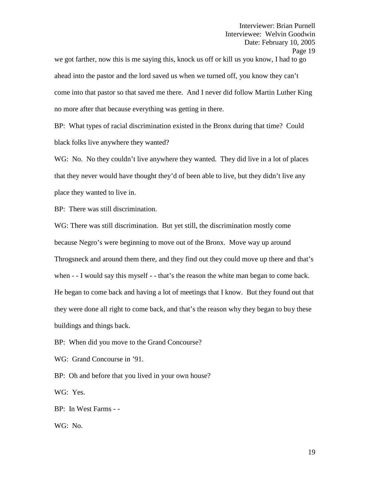we got farther, now this is me saying this, knock us off or kill us you know, I had to go ahead into the pastor and the lord saved us when we turned off, you know they can't come into that pastor so that saved me there. And I never did follow Martin Luther King no more after that because everything was getting in there.

BP: What types of racial discrimination existed in the Bronx during that time? Could black folks live anywhere they wanted?

WG: No. No they couldn't live anywhere they wanted. They did live in a lot of places that they never would have thought they'd of been able to live, but they didn't live any place they wanted to live in.

BP: There was still discrimination.

WG: There was still discrimination. But yet still, the discrimination mostly come because Negro's were beginning to move out of the Bronx. Move way up around Throgsneck and around them there, and they find out they could move up there and that's when - - I would say this myself - - that's the reason the white man began to come back. He began to come back and having a lot of meetings that I know. But they found out that they were done all right to come back, and that's the reason why they began to buy these buildings and things back.

BP: When did you move to the Grand Concourse?

WG: Grand Concourse in '91.

BP: Oh and before that you lived in your own house?

WG: Yes.

BP: In West Farms - -

WG: No.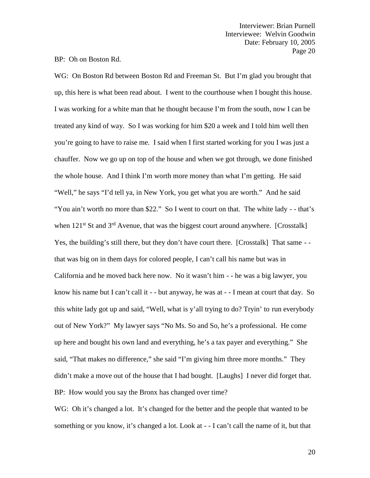BP: Oh on Boston Rd.

WG: On Boston Rd between Boston Rd and Freeman St. But I'm glad you brought that up, this here is what been read about. I went to the courthouse when I bought this house. I was working for a white man that he thought because I'm from the south, now I can be treated any kind of way. So I was working for him \$20 a week and I told him well then you're going to have to raise me. I said when I first started working for you I was just a chauffer. Now we go up on top of the house and when we got through, we done finished the whole house. And I think I'm worth more money than what I'm getting. He said "Well," he says "I'd tell ya, in New York, you get what you are worth." And he said "You ain't worth no more than \$22." So I went to court on that. The white lady - - that's when  $121<sup>st</sup>$  St and  $3<sup>rd</sup>$  Avenue, that was the biggest court around anywhere. [Crosstalk] Yes, the building's still there, but they don't have court there. [Crosstalk] That same - that was big on in them days for colored people, I can't call his name but was in California and he moved back here now. No it wasn't him - - he was a big lawyer, you know his name but I can't call it - - but anyway, he was at - - I mean at court that day. So this white lady got up and said, "Well, what is y'all trying to do? Tryin' to run everybody out of New York?" My lawyer says "No Ms. So and So, he's a professional. He come up here and bought his own land and everything, he's a tax payer and everything." She said, "That makes no difference," she said "I'm giving him three more months." They didn't make a move out of the house that I had bought. [Laughs] I never did forget that. BP: How would you say the Bronx has changed over time?

WG: Oh it's changed a lot. It's changed for the better and the people that wanted to be something or you know, it's changed a lot. Look at - - I can't call the name of it, but that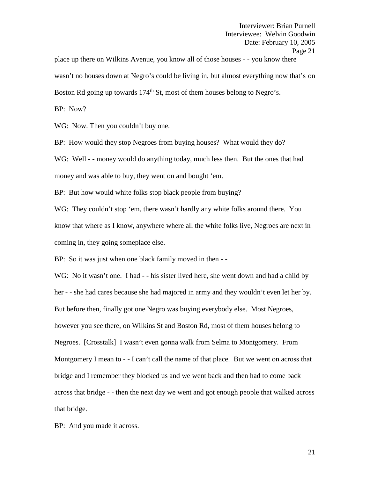place up there on Wilkins Avenue, you know all of those houses - - you know there wasn't no houses down at Negro's could be living in, but almost everything now that's on Boston Rd going up towards  $174<sup>th</sup>$  St, most of them houses belong to Negro's.

BP: Now?

WG: Now. Then you couldn't buy one.

BP: How would they stop Negroes from buying houses? What would they do?

WG: Well - - money would do anything today, much less then. But the ones that had money and was able to buy, they went on and bought 'em.

BP: But how would white folks stop black people from buying?

WG: They couldn't stop 'em, there wasn't hardly any white folks around there. You know that where as I know, anywhere where all the white folks live, Negroes are next in coming in, they going someplace else.

BP: So it was just when one black family moved in then --

WG: No it wasn't one. I had - - his sister lived here, she went down and had a child by her - - she had cares because she had majored in army and they wouldn't even let her by. But before then, finally got one Negro was buying everybody else. Most Negroes, however you see there, on Wilkins St and Boston Rd, most of them houses belong to Negroes. [Crosstalk] I wasn't even gonna walk from Selma to Montgomery. From Montgomery I mean to - - I can't call the name of that place. But we went on across that bridge and I remember they blocked us and we went back and then had to come back across that bridge - - then the next day we went and got enough people that walked across that bridge.

BP: And you made it across.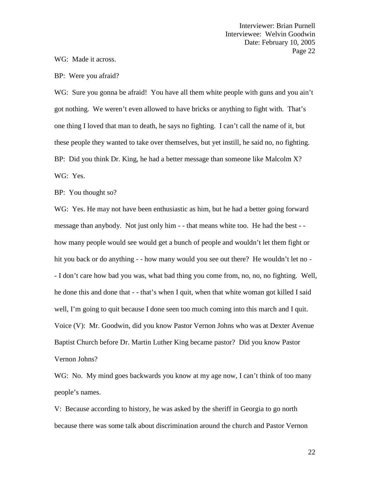WG: Made it across.

BP: Were you afraid?

WG: Sure you gonna be afraid! You have all them white people with guns and you ain't got nothing. We weren't even allowed to have bricks or anything to fight with. That's one thing I loved that man to death, he says no fighting. I can't call the name of it, but these people they wanted to take over themselves, but yet instill, he said no, no fighting. BP: Did you think Dr. King, he had a better message than someone like Malcolm X? WG: Yes.

BP: You thought so?

WG: Yes. He may not have been enthusiastic as him, but he had a better going forward message than anybody. Not just only him - - that means white too. He had the best - how many people would see would get a bunch of people and wouldn't let them fight or hit you back or do anything - - how many would you see out there? He wouldn't let no -- I don't care how bad you was, what bad thing you come from, no, no, no fighting. Well, he done this and done that - - that's when I quit, when that white woman got killed I said well, I'm going to quit because I done seen too much coming into this march and I quit. Voice (V): Mr. Goodwin, did you know Pastor Vernon Johns who was at Dexter Avenue Baptist Church before Dr. Martin Luther King became pastor? Did you know Pastor Vernon Johns?

WG: No. My mind goes backwards you know at my age now, I can't think of too many people's names.

V: Because according to history, he was asked by the sheriff in Georgia to go north because there was some talk about discrimination around the church and Pastor Vernon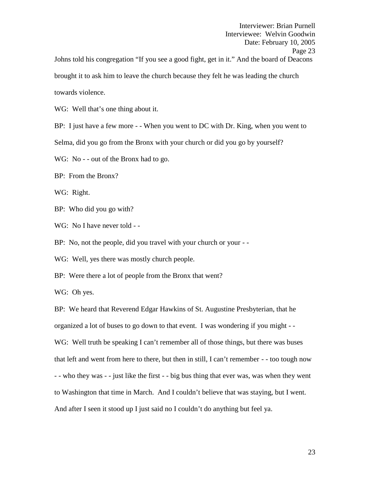Interviewer: Brian Purnell Interviewee: Welvin Goodwin Date: February 10, 2005 Page 23 Johns told his congregation "If you see a good fight, get in it." And the board of Deacons brought it to ask him to leave the church because they felt he was leading the church towards violence.

WG: Well that's one thing about it.

BP: I just have a few more - - When you went to DC with Dr. King, when you went to

Selma, did you go from the Bronx with your church or did you go by yourself?

WG: No - - out of the Bronx had to go.

BP: From the Bronx?

WG: Right.

BP: Who did you go with?

WG: No I have never told - -

BP: No, not the people, did you travel with your church or your --

WG: Well, yes there was mostly church people.

BP: Were there a lot of people from the Bronx that went?

WG: Oh yes.

BP: We heard that Reverend Edgar Hawkins of St. Augustine Presbyterian, that he organized a lot of buses to go down to that event. I was wondering if you might - - WG: Well truth be speaking I can't remember all of those things, but there was buses that left and went from here to there, but then in still, I can't remember - - too tough now - - who they was - - just like the first - - big bus thing that ever was, was when they went to Washington that time in March. And I couldn't believe that was staying, but I went. And after I seen it stood up I just said no I couldn't do anything but feel ya.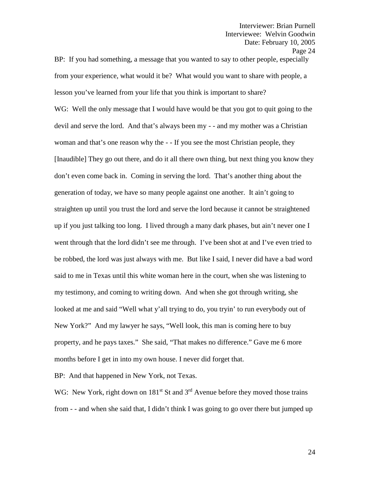BP: If you had something, a message that you wanted to say to other people, especially from your experience, what would it be? What would you want to share with people, a lesson you've learned from your life that you think is important to share?

WG: Well the only message that I would have would be that you got to quit going to the devil and serve the lord. And that's always been my - - and my mother was a Christian woman and that's one reason why the - - If you see the most Christian people, they [Inaudible] They go out there, and do it all there own thing, but next thing you know they don't even come back in. Coming in serving the lord. That's another thing about the generation of today, we have so many people against one another. It ain't going to straighten up until you trust the lord and serve the lord because it cannot be straightened up if you just talking too long. I lived through a many dark phases, but ain't never one I went through that the lord didn't see me through. I've been shot at and I've even tried to be robbed, the lord was just always with me. But like I said, I never did have a bad word said to me in Texas until this white woman here in the court, when she was listening to my testimony, and coming to writing down. And when she got through writing, she looked at me and said "Well what y'all trying to do, you tryin' to run everybody out of New York?" And my lawyer he says, "Well look, this man is coming here to buy property, and he pays taxes." She said, "That makes no difference." Gave me 6 more months before I get in into my own house. I never did forget that.

BP: And that happened in New York, not Texas.

WG: New York, right down on  $181<sup>st</sup>$  St and  $3<sup>rd</sup>$  Avenue before they moved those trains from - - and when she said that, I didn't think I was going to go over there but jumped up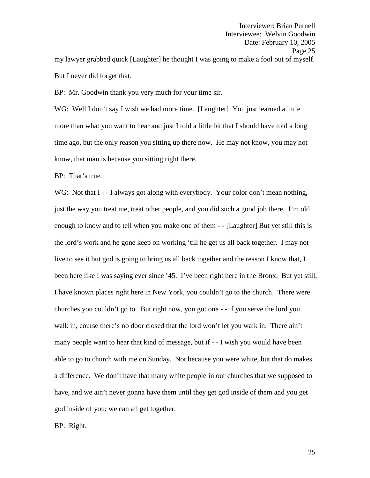BP: Mr. Goodwin thank you very much for your time sir.

WG: Well I don't say I wish we had more time. [Laughter] You just learned a little more than what you want to hear and just I told a little bit that I should have told a long time ago, but the only reason you sitting up there now. He may not know, you may not know, that man is because you sitting right there.

BP: That's true.

WG: Not that I - - I always got along with everybody. Your color don't mean nothing, just the way you treat me, treat other people, and you did such a good job there. I'm old enough to know and to tell when you make one of them - - [Laughter] But yet still this is the lord's work and he gone keep on working 'till he get us all back together. I may not live to see it but god is going to bring us all back together and the reason I know that, I been here like I was saying ever since '45. I've been right here in the Bronx. But yet still, I have known places right here in New York, you couldn't go to the church. There were churches you couldn't go to. But right now, you got one - - if you serve the lord you walk in, course there's no door closed that the lord won't let you walk in. There ain't many people want to hear that kind of message, but if - - I wish you would have been able to go to church with me on Sunday. Not because you were white, but that do makes a difference. We don't have that many white people in our churches that we supposed to have, and we ain't never gonna have them until they get god inside of them and you get god inside of you; we can all get together.

BP: Right.